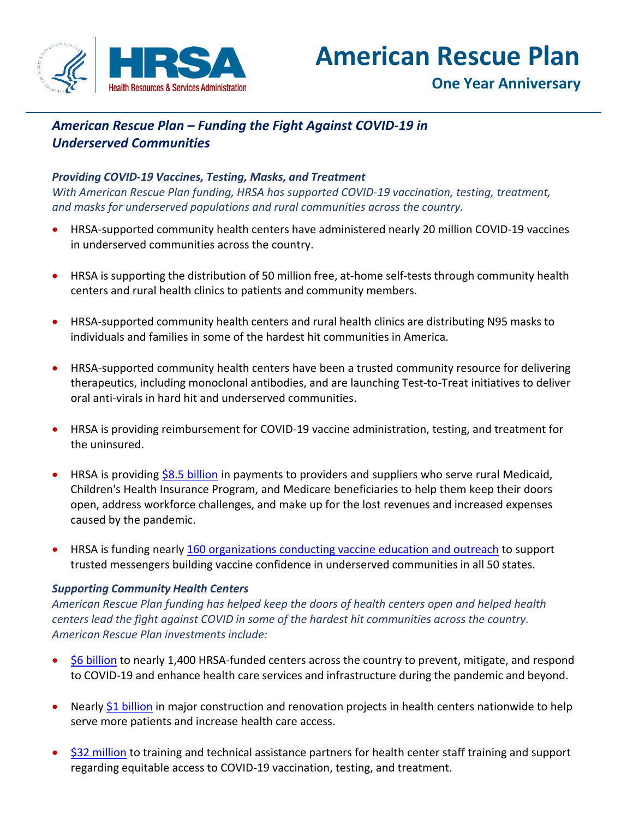

# **American Rescue Plan**

## *American Rescue Plan – Funding the Fight Against COVID-19 in Underserved Communities*

## *Providing COVID-19 Vaccines, Testing, Masks, and Treatment*

*With American Rescue Plan funding, HRSA has supported COVID-19 vaccination, testing, treatment, and masks for underserved populations and rural communities across the country.*

- HRSA-supported community health centers have administered nearly 20 million COVID-19 vaccines in underserved communities across the country.
- HRSA is supporting the distribution of 50 million free, at-home self-tests through community health centers and rural health clinics to patients and community members.
- HRSA-supported community health centers and rural health clinics are distributing N95 masks to individuals and families in some of the hardest hit communities in America.
- HRSA-supported community health centers have been a trusted community resource for delivering therapeutics, including monoclonal antibodies, and are launching Test-to-Treat initiatives to deliver oral anti-virals in hard hit and underserved communities.
- HRSA is providing reimbursement for COVID-19 vaccine administration, testing, and treatment for the uninsured.
- HRSA is providing [\\$8.5 billion](https://www.hhs.gov/about/news/2021/09/10/hhs-announces-the-availability-of-25-point-5-billion-in-covid-19-provider-funding.html) in payments to providers and suppliers who serve rural Medicaid, Children's Health Insurance Program, and Medicare beneficiaries to help them keep their doors open, address workforce challenges, and make up for the lost revenues and increased expenses caused by the pandemic.
- HRSA is funding nearly [160 organizations conducting vaccine education and outreach](https://www.hrsa.gov/coronavirus/community-based-outreach/) to support trusted messengers building vaccine confidence in underserved communities in all 50 states.

## *Supporting Community Health Centers*

*American Rescue Plan funding has helped keep the doors of health centers open and helped health centers lead the fight against COVID in some of the hardest hit communities across the country. American Rescue Plan investments include:*

- [\\$6 billion](https://www.whitehouse.gov/briefing-room/statements-releases/2021/03/25/fact-sheet-biden-administration-announces-historic-10-billion-investment-to-expand-access-to-covid-19-vaccines-and-build-vaccine-confidence-in-hardest-hit-and-highest-risk-communities/) to nearly 1,400 HRSA-funded centers across the country to prevent, mitigate, and respond to COVID-19 and enhance health care services and infrastructure during the pandemic and beyond.
- Nearly [\\$1 billion](https://www.hhs.gov/about/news/2021/09/28/biden-harris-admin-providers-nearly-1-billion-in-arp-funding-to-modernize-health-centers.html) in major construction and renovation projects in health centers nationwide to help serve more patients and increase health care access.
- [\\$32 million](https://www.hhs.gov/about/news/2021/04/29/hhs-awards-over-32-million-american-rescue-plan-funding-expand-covid-19-training-support-health-centers.html) to training and technical assistance partners for health center staff training and support regarding equitable access to COVID-19 vaccination, testing, and treatment.